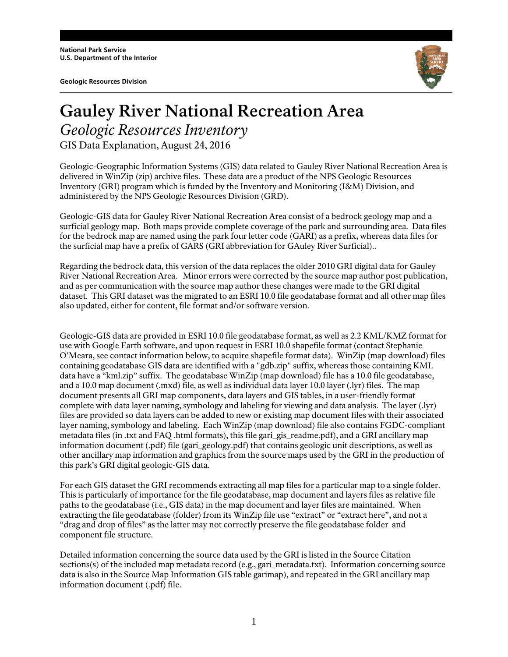**National Park Service U.S. Department of the Interior** 

**Geologic Resources Division** 



## **Gauley River National Recreation Area** *Geologic Resources Inventory*  GIS Data Explanation, August 24, 2016

Geologic-Geographic Information Systems (GIS) data related to Gauley River National Recreation Area is delivered in WinZip (zip) archive files. These data are a product of the NPS Geologic Resources Inventory (GRI) program which is funded by the Inventory and Monitoring (I&M) Division, and administered by the NPS Geologic Resources Division (GRD).

Geologic-GIS data for Gauley River National Recreation Area consist of a bedrock geology map and a surficial geology map. Both maps provide complete coverage of the park and surrounding area. Data files for the bedrock map are named using the park four letter code (GARI) as a prefix, whereas data files for the surficial map have a prefix of GARS (GRI abbreviation for GAuley River Surficial)..

Regarding the bedrock data, this version of the data replaces the older 2010 GRI digital data for Gauley River National Recreation Area. Minor errors were corrected by the source map author post publication, and as per communication with the source map author these changes were made to the GRI digital dataset. This GRI dataset was the migrated to an ESRI 10.0 file geodatabase format and all other map files also updated, either for content, file format and/or software version.

Geologic-GIS data are provided in ESRI 10.0 file geodatabase format, as well as 2.2 KML/KMZ format for use with Google Earth software, and upon request in ESRI 10.0 shapefile format (contact Stephanie O'Meara, see contact information below, to acquire shapefile format data). WinZip (map download) files containing geodatabase GIS data are identified with a "gdb.zip" suffix, whereas those containing KML data have a "kml.zip" suffix. The geodatabase WinZip (map download) file has a 10.0 file geodatabase, and a 10.0 map document (.mxd) file, as well as individual data layer 10.0 layer (.lyr) files. The map document presents all GRI map components, data layers and GIS tables, in a user-friendly format complete with data layer naming, symbology and labeling for viewing and data analysis. The layer (.lyr) files are provided so data layers can be added to new or existing map document files with their associated layer naming, symbology and labeling. Each WinZip (map download) file also contains FGDC-compliant metadata files (in .txt and FAQ .html formats), this file gari\_gis\_readme.pdf), and a GRI ancillary map information document (.pdf) file (gari\_geology.pdf) that contains geologic unit descriptions, as well as other ancillary map information and graphics from the source maps used by the GRI in the production of this park's GRI digital geologic-GIS data.

For each GIS dataset the GRI recommends extracting all map files for a particular map to a single folder. This is particularly of importance for the file geodatabase, map document and layers files as relative file paths to the geodatabase (i.e., GIS data) in the map document and layer files are maintained. When extracting the file geodatabase (folder) from its WinZip file use "extract" or "extract here", and not a "drag and drop of files" as the latter may not correctly preserve the file geodatabase folder and component file structure.

Detailed information concerning the source data used by the GRI is listed in the Source Citation sections(s) of the included map metadata record (e.g., gari\_metadata.txt). Information concerning source data is also in the Source Map Information GIS table garimap), and repeated in the GRI ancillary map information document (.pdf) file.